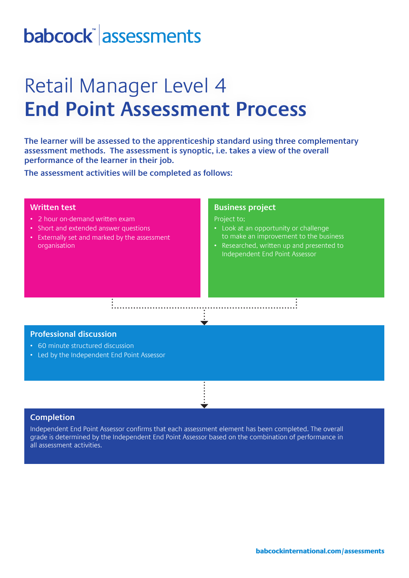# babcock assessments

## Retail Manager Level 4 **End Point Assessment Process**

**The learner will be assessed to the apprenticeship standard using three complementary assessment methods. The assessment is synoptic, i.e. takes a view of the overall performance of the learner in their job.** 

**The assessment activities will be completed as follows:**

### **Written test**

- 2 hour on-demand written exam
- Short and extended answer questions
- Externally set and marked by the assessment organisation

### **Business project**

Project to;

- Look at an opportunity or challenge to make an improvement to the business
- Researched, written up and presented to Independent End Point Assessor

## **Professional discussion**

- 60 minute structured discussion
- Led by the Independent End Point Assessor

### **Completion**

Independent End Point Assessor confirms that each assessment element has been completed. The overall grade is determined by the Independent End Point Assessor based on the combination of performance in all assessment activities.